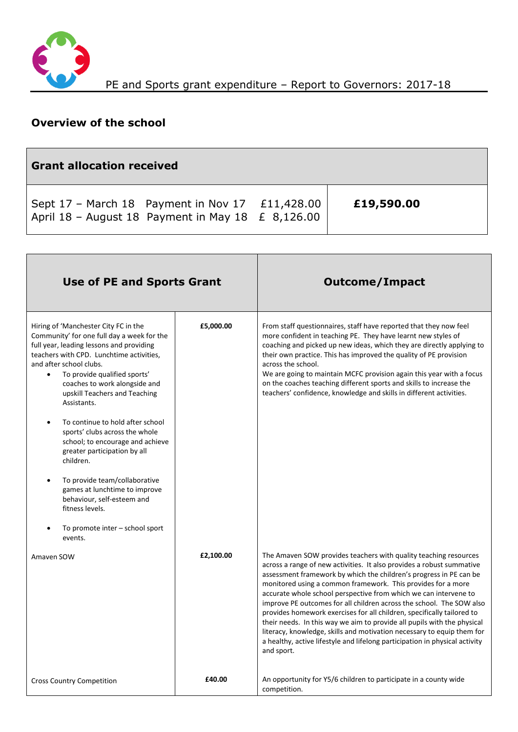

## **Overview of the school**

| <b>Grant allocation received</b>                                                                              |  |            |  |  |  |
|---------------------------------------------------------------------------------------------------------------|--|------------|--|--|--|
| Sept $17$ – March 18 Payment in Nov $17$ £11,428.00<br>April 18 - August 18 Payment in May 18 $\leq$ 8,126.00 |  | £19,590.00 |  |  |  |

| <b>Use of PE and Sports Grant</b>                                                                                                                                                                                                                                                                                                                                                                                                                                                                                                                                                                                                                                        |           | <b>Outcome/Impact</b>                                                                                                                                                                                                                                                                                                                                                                                                                                                                                                                                                                                                                                                                                                                                   |
|--------------------------------------------------------------------------------------------------------------------------------------------------------------------------------------------------------------------------------------------------------------------------------------------------------------------------------------------------------------------------------------------------------------------------------------------------------------------------------------------------------------------------------------------------------------------------------------------------------------------------------------------------------------------------|-----------|---------------------------------------------------------------------------------------------------------------------------------------------------------------------------------------------------------------------------------------------------------------------------------------------------------------------------------------------------------------------------------------------------------------------------------------------------------------------------------------------------------------------------------------------------------------------------------------------------------------------------------------------------------------------------------------------------------------------------------------------------------|
| Hiring of 'Manchester City FC in the<br>Community' for one full day a week for the<br>full year, leading lessons and providing<br>teachers with CPD. Lunchtime activities,<br>and after school clubs.<br>To provide qualified sports'<br>$\bullet$<br>coaches to work alongside and<br>upskill Teachers and Teaching<br>Assistants.<br>To continue to hold after school<br>sports' clubs across the whole<br>school; to encourage and achieve<br>greater participation by all<br>children.<br>To provide team/collaborative<br>$\bullet$<br>games at lunchtime to improve<br>behaviour, self-esteem and<br>fitness levels.<br>To promote inter - school sport<br>events. | £5,000.00 | From staff questionnaires, staff have reported that they now feel<br>more confident in teaching PE. They have learnt new styles of<br>coaching and picked up new ideas, which they are directly applying to<br>their own practice. This has improved the quality of PE provision<br>across the school.<br>We are going to maintain MCFC provision again this year with a focus<br>on the coaches teaching different sports and skills to increase the<br>teachers' confidence, knowledge and skills in different activities.                                                                                                                                                                                                                            |
| Amaven SOW                                                                                                                                                                                                                                                                                                                                                                                                                                                                                                                                                                                                                                                               | £2,100.00 | The Amaven SOW provides teachers with quality teaching resources<br>across a range of new activities. It also provides a robust summative<br>assessment framework by which the children's progress in PE can be<br>monitored using a common framework. This provides for a more<br>accurate whole school perspective from which we can intervene to<br>improve PE outcomes for all children across the school. The SOW also<br>provides homework exercises for all children, specifically tailored to<br>their needs. In this way we aim to provide all pupils with the physical<br>literacy, knowledge, skills and motivation necessary to equip them for<br>a healthy, active lifestyle and lifelong participation in physical activity<br>and sport. |
| <b>Cross Country Competition</b>                                                                                                                                                                                                                                                                                                                                                                                                                                                                                                                                                                                                                                         | £40.00    | An opportunity for Y5/6 children to participate in a county wide<br>competition.                                                                                                                                                                                                                                                                                                                                                                                                                                                                                                                                                                                                                                                                        |